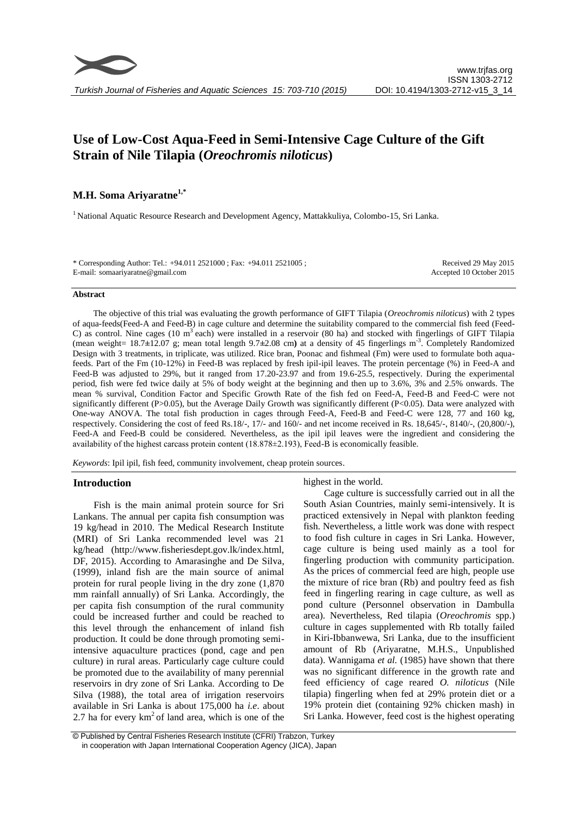# **Use of Low-Cost Aqua-Feed in Semi-Intensive Cage Culture of the Gift Strain of Nile Tilapia (***Oreochromis niloticus***)**

## **M.H. Soma Ariyaratne1,\***

<sup>1</sup> National Aquatic Resource Research and Development Agency, Mattakkuliya, Colombo-15, Sri Lanka.

\* Corresponding Author: Tel.: +94.011 2521000 ; Fax: +94.011 2521005 ; E-mail: somaariyaratne@gmail.com

Received 29 May 2015 Accepted 10 October 2015

#### **Abstract**

The objective of this trial was evaluating the growth performance of GIFT Tilapia (*Oreochromis niloticus*) with 2 types of aqua-feeds(Feed-A and Feed-B) in cage culture and determine the suitability compared to the commercial fish feed (Feed-C) as control. Nine cages (10  $m<sup>3</sup>$  each) were installed in a reservoir (80 ha) and stocked with fingerlings of GIFT Tilapia (mean weight= 18.7**±**12.07 g; mean total length 9.7**±**2.08 cm**)** at a density of 45 fingerlings m-3 . Completely Randomized Design with 3 treatments, in triplicate, was utilized. Rice bran, Poonac and fishmeal (Fm) were used to formulate both aquafeeds. Part of the Fm (10-12%) in Feed-B was replaced by fresh ipil-ipil leaves. The protein percentage (%) in Feed-A and Feed-B was adjusted to 29%, but it ranged from 17.20-23.97 and from 19.6-25.5, respectively. During the experimental period, fish were fed twice daily at 5% of body weight at the beginning and then up to 3.6%, 3% and 2.5% onwards. The mean % survival, Condition Factor and Specific Growth Rate of the fish fed on Feed-A, Feed-B and Feed-C were not significantly different (P>0.05), but the Average Daily Growth was significantly different (P<0.05). Data were analyzed with One-way ANOVA. The total fish production in cages through Feed-A, Feed-B and Feed-C were 128, 77 and 160 kg, respectively. Considering the cost of feed Rs.18/-, 17/- and 160/- and net income received in Rs. 18,645/-, 8140/-, (20,800/-), Feed-A and Feed-B could be considered. Nevertheless, as the ipil ipil leaves were the ingredient and considering the availability of the highest carcass protein content (18.878±2.193), Feed-B is economically feasible.

*Keywords*: Ipil ipil, fish feed, community involvement, cheap protein sources.

## **Introduction**

Fish is the main animal protein source for Sri Lankans. The annual per capita fish consumption was 19 kg/head in 2010. The Medical Research Institute (MRI) of Sri Lanka recommended level was 21 kg/head (http://www.fisheriesdept.gov.lk/index.html, DF, 2015). According to Amarasinghe and De Silva, (1999), inland fish are the main source of animal protein for rural people living in the dry zone (1,870 mm rainfall annually) of Sri Lanka. Accordingly, the per capita fish consumption of the rural community could be increased further and could be reached to this level through the enhancement of inland fish production. It could be done through promoting semiintensive aquaculture practices (pond, cage and pen culture) in rural areas. Particularly cage culture could be promoted due to the availability of many perennial reservoirs in dry zone of Sri Lanka. According to De Silva (1988), the total area of irrigation reservoirs available in Sri Lanka is about 175,000 ha *i.e*. about 2.7 ha for every  $km^2$  of land area, which is one of the highest in the world.

Cage culture is successfully carried out in all the South Asian Countries, mainly semi-intensively. It is practiced extensively in Nepal with plankton feeding fish. Nevertheless, a little work was done with respect to food fish culture in cages in Sri Lanka. However, cage culture is being used mainly as a tool for fingerling production with community participation. As the prices of commercial feed are high, people use the mixture of rice bran (Rb) and poultry feed as fish feed in fingerling rearing in cage culture, as well as pond culture (Personnel observation in Dambulla area). Nevertheless, Red tilapia (*Oreochromis* spp.) culture in cages supplemented with Rb totally failed in Kiri-Ibbanwewa, Sri Lanka, due to the insufficient amount of Rb (Ariyaratne, M.H.S., Unpublished data). Wannigama *et al.* (1985) have shown that there was no significant difference in the growth rate and feed efficiency of cage reared *O. niloticus* (Nile tilapia) fingerling when fed at 29% protein diet or a 19% protein diet (containing 92% chicken mash) in Sri Lanka. However, feed cost is the highest operating

<sup>©</sup> Published by Central Fisheries Research Institute (CFRI) Trabzon, Turkey in cooperation with Japan International Cooperation Agency (JICA), Japan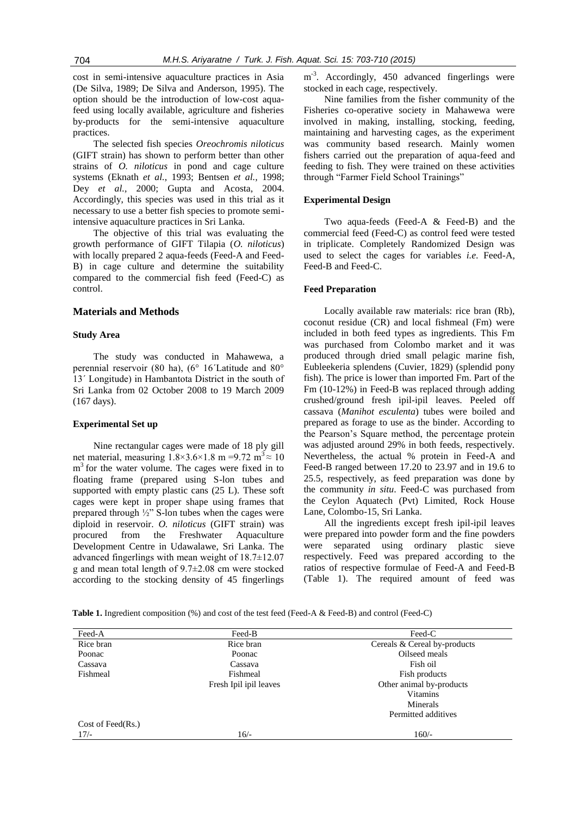cost in semi-intensive aquaculture practices in Asia (De Silva, 1989; De Silva and Anderson, 1995). The option should be the introduction of low-cost aquafeed using locally available, agriculture and fisheries by-products for the semi-intensive aquaculture practices.

The selected fish species *Oreochromis niloticus*  (GIFT strain) has shown to perform better than other strains of *O. niloticus* in pond and cage culture systems (Eknath *et al.*, 1993; Bentsen *et al.,* 1998; Dey *et al.,* 2000; Gupta and Acosta, 2004. Accordingly, this species was used in this trial as it necessary to use a better fish species to promote semiintensive aquaculture practices in Sri Lanka.

The objective of this trial was evaluating the growth performance of GIFT Tilapia (*O. niloticus*) with locally prepared 2 aqua-feeds (Feed-A and Feed-B) in cage culture and determine the suitability compared to the commercial fish feed (Feed-C) as control.

## **Materials and Methods**

## **Study Area**

The study was conducted in Mahawewa, a perennial reservoir (80 ha), (6° 16´Latitude and 80° 13´ Longitude) in Hambantota District in the south of Sri Lanka from 02 October 2008 to 19 March 2009 (167 days).

## **Experimental Set up**

Nine rectangular cages were made of 18 ply gill net material, measuring  $1.8 \times 3.6 \times 1.8$  m =9.72 m<sup>3</sup> $\approx 10$ m<sup>3</sup> for the water volume. The cages were fixed in to floating frame (prepared using S-lon tubes and supported with empty plastic cans (25 L). These soft cages were kept in proper shape using frames that prepared through ½" S-lon tubes when the cages were diploid in reservoir. *O. niloticus* (GIFT strain) was procured from the Freshwater Aquaculture Development Centre in Udawalawe, Sri Lanka. The advanced fingerlings with mean weight of 18.7±12.07 g and mean total length of 9.7±2.08 cm were stocked according to the stocking density of 45 fingerlings

m<sup>-3</sup>. Accordingly, 450 advanced fingerlings were stocked in each cage, respectively.

Nine families from the fisher community of the Fisheries co-operative society in Mahawewa were involved in making, installing, stocking, feeding, maintaining and harvesting cages, as the experiment was community based research. Mainly women fishers carried out the preparation of aqua-feed and feeding to fish. They were trained on these activities through "Farmer Field School Trainings"

## **Experimental Design**

Two aqua-feeds (Feed-A & Feed-B) and the commercial feed (Feed-C) as control feed were tested in triplicate. Completely Randomized Design was used to select the cages for variables *i.e*. Feed-A, Feed-B and Feed-C.

#### **Feed Preparation**

Locally available raw materials: rice bran (Rb), coconut residue (CR) and local fishmeal (Fm) were included in both feed types as ingredients. This Fm was purchased from Colombo market and it was produced through dried small pelagic marine fish, Eubleekeria splendens (Cuvier, 1829) (splendid pony fish). The price is lower than imported Fm. Part of the Fm (10-12%) in Feed-B was replaced through adding crushed/ground fresh ipil-ipil leaves. Peeled off cassava (*Manihot esculenta*) tubes were boiled and prepared as forage to use as the binder. According to the Pearson's Square method, the percentage protein was adjusted around 29% in both feeds, respectively. Nevertheless, the actual % protein in Feed-A and Feed-B ranged between 17.20 to 23.97 and in 19.6 to 25.5, respectively, as feed preparation was done by the community *in situ*. Feed-C was purchased from the Ceylon Aquatech (Pvt) Limited, Rock House Lane, Colombo-15, Sri Lanka.

All the ingredients except fresh ipil-ipil leaves were prepared into powder form and the fine powders were separated using ordinary plastic sieve respectively. Feed was prepared according to the ratios of respective formulae of Feed-A and Feed-B (Table 1). The required amount of feed was

**Table 1.** Ingredient composition (%) and cost of the test feed (Feed-A & Feed-B) and control (Feed-C)

| Feed-A            | Feed-B                 | Feed-C                       |  |  |
|-------------------|------------------------|------------------------------|--|--|
| Rice bran         | Rice bran              | Cereals & Cereal by-products |  |  |
| Poonac            | Poonac                 | Oilseed meals                |  |  |
| Cassava           | Cassava                | Fish oil                     |  |  |
| Fishmeal          | Fishmeal               | Fish products                |  |  |
|                   | Fresh Ipil ipil leaves | Other animal by-products     |  |  |
|                   |                        | <b>Vitamins</b>              |  |  |
|                   |                        | Minerals                     |  |  |
|                   |                        | Permitted additives          |  |  |
| Cost of Feed(Rs.) |                        |                              |  |  |
| $17/-$            | $16/-$                 | $160/-$                      |  |  |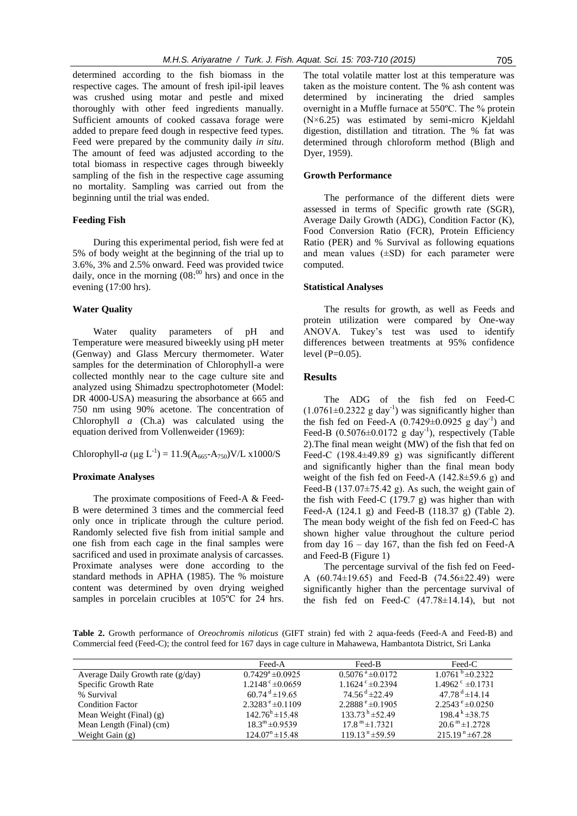determined according to the fish biomass in the respective cages. The amount of fresh ipil-ipil leaves was crushed using motar and pestle and mixed thoroughly with other feed ingredients manually. Sufficient amounts of cooked cassava forage were added to prepare feed dough in respective feed types. Feed were prepared by the community daily *in situ*. The amount of feed was adjusted according to the total biomass in respective cages through biweekly sampling of the fish in the respective cage assuming no mortality. Sampling was carried out from the beginning until the trial was ended.

#### **Feeding Fish**

During this experimental period, fish were fed at 5% of body weight at the beginning of the trial up to 3.6%, 3% and 2.5% onward. Feed was provided twice daily, once in the morning  $(08)^{00}$  hrs) and once in the evening (17:00 hrs).

#### **Water Quality**

Water quality parameters of pH and Temperature were measured biweekly using pH meter (Genway) and Glass Mercury thermometer. Water samples for the determination of Chlorophyll-a were collected monthly near to the cage culture site and analyzed using Shimadzu spectrophotometer (Model: DR 4000-USA) measuring the absorbance at 665 and 750 nm using 90% acetone. The concentration of Chlorophyll *a* (Ch.a) was calculated using the equation derived from Vollenweider (1969):

# Chlorophyll-*a* ( $\mu$ g L<sup>-1</sup>) = 11.9(A<sub>665</sub>-A<sub>750</sub>)V/L x1000/S

#### **Proximate Analyses**

The proximate compositions of Feed-A & Feed-B were determined 3 times and the commercial feed only once in triplicate through the culture period. Randomly selected five fish from initial sample and one fish from each cage in the final samples were sacrificed and used in proximate analysis of carcasses. Proximate analyses were done according to the standard methods in APHA (1985). The % moisture content was determined by oven drying weighed samples in porcelain crucibles at 105ºC for 24 hrs.

The total volatile matter lost at this temperature was taken as the moisture content. The % ash content was determined by incinerating the dried samples overnight in a Muffle furnace at 550ºC. The % protein (N×6.25) was estimated by semi-micro Kjeldahl digestion, distillation and titration. The % fat was determined through chloroform method (Bligh and Dyer, 1959).

## **Growth Performance**

The performance of the different diets were assessed in terms of Specific growth rate (SGR), Average Daily Growth (ADG), Condition Factor (K), Food Conversion Ratio (FCR), Protein Efficiency Ratio (PER) and % Survival as following equations and mean values  $(\pm SD)$  for each parameter were computed.

#### **Statistical Analyses**

The results for growth, as well as Feeds and protein utilization were compared by One-way ANOVA. Tukey's test was used to identify differences between treatments at 95% confidence level  $(P=0.05)$ .

## **Results**

The ADG of the fish fed on Feed-C  $(1.0761 \pm 0.2322 \text{ g day}^{-1})$  was significantly higher than the fish fed on Feed-A  $(0.7429 \pm 0.0925 \text{ g day}^{-1})$  and Feed-B  $(0.5076 \pm 0.0172 \text{ g day}^{-1})$ , respectively (Table 2).The final mean weight (MW) of the fish that fed on Feed-C (198.4±49.89 g) was significantly different and significantly higher than the final mean body weight of the fish fed on Feed-A (142.8±59.6 g) and Feed-B  $(137.07\pm75.42 \text{ g})$ . As such, the weight gain of the fish with Feed-C  $(179.7 g)$  was higher than with Feed-A (124.1 g) and Feed-B (118.37 g) (Table 2). The mean body weight of the fish fed on Feed-C has shown higher value throughout the culture period from day  $16 - day 167$ , than the fish fed on Feed-A and Feed-B (Figure 1)

The percentage survival of the fish fed on Feed-A (60.74±19.65) and Feed-B (74.56±22.49) were significantly higher than the percentage survival of the fish fed on Feed-C (47.78±14.14), but not

**Table 2.** Growth performance of *Oreochromis niloticus* (GIFT strain) fed with 2 aqua-feeds (Feed-A and Feed-B) and Commercial feed (Feed-C); the control feed for 167 days in cage culture in Mahawewa, Hambantota District, Sri Lanka

|                                     | Feed-A                         | Feed-B                          | Feed-C                             |
|-------------------------------------|--------------------------------|---------------------------------|------------------------------------|
| Average Daily Growth rate $(g/day)$ | $0.7429^{\circ} \pm 0.0925$    | $0.5076^{\text{ a}} \pm 0.0172$ | $1.0761^{\circ} \pm 0.2322$        |
| Specific Growth Rate                | $1.2148^{\circ} \pm 0.0659$    | $1.1624$ ° $\pm$ 0.2394         | $1.4962$ <sup>c</sup> $\pm$ 0.1731 |
| % Survival                          | $60.74^{\mathrm{d}} \pm 19.65$ | $74.56^{\text{ d}} \pm 22.49$   | $47.78^{\mathrm{d}} \pm 14.14$     |
| <b>Condition Factor</b>             | $2.3283^{\text{ e}}\pm 0.1109$ | $2.2888^{\text{e}} \pm 0.1905$  | $2.2543^{\circ} \pm 0.0250$        |
| Mean Weight (Final) $(g)$           | $142.76^{\rm h} \pm 15.48$     | $133.73^{h} \pm 52.49$          | $198.4 k + 38.75$                  |
| Mean Length (Final) (cm)            | $18.3^{\rm m}$ ±0.9539         | $17.8^{\mathrm{m}}$ ± 1.7321    | $20.6^{\mathrm{m}}$ ±1.2728        |
| Weight Gain $(g)$                   | $124.07n \pm 15.48$            | $119.13^{n} \pm 59.59$          | $215.19^{n} \pm 67.28$             |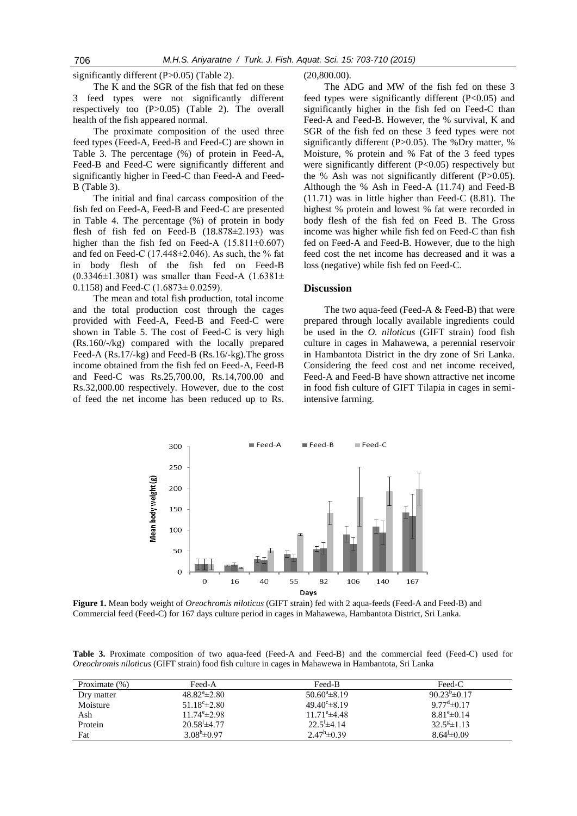significantly different (P>0.05) (Table 2).

The K and the SGR of the fish that fed on these 3 feed types were not significantly different respectively too (P>0.05) (Table 2). The overall health of the fish appeared normal.

The proximate composition of the used three feed types (Feed-A, Feed-B and Feed-C) are shown in Table 3. The percentage (%) of protein in Feed-A, Feed-B and Feed-C were significantly different and significantly higher in Feed-C than Feed-A and Feed-B (Table 3).

The initial and final carcass composition of the fish fed on Feed-A, Feed-B and Feed-C are presented in Table 4. The percentage (%) of protein in body flesh of fish fed on Feed-B (18.878±2.193) was higher than the fish fed on Feed-A  $(15.811 \pm 0.607)$ and fed on Feed-C (17.448 $\pm$ 2.046). As such, the % fat in body flesh of the fish fed on Feed-B  $(0.3346\pm1.3081)$  was smaller than Feed-A  $(1.6381\pm$ 0.1158) and Feed-C  $(1.6873 \pm 0.0259)$ .

The mean and total fish production, total income and the total production cost through the cages provided with Feed-A, Feed-B and Feed-C were shown in Table 5. The cost of Feed-C is very high (Rs.160/-/kg) compared with the locally prepared Feed-A (Rs.17/-kg) and Feed-B (Rs.16/-kg).The gross income obtained from the fish fed on Feed-A, Feed-B and Feed-C was Rs.25,700.00, Rs.14,700.00 and Rs.32,000.00 respectively. However, due to the cost of feed the net income has been reduced up to Rs. (20,800.00).

The ADG and MW of the fish fed on these 3 feed types were significantly different (P<0.05) and significantly higher in the fish fed on Feed-C than Feed-A and Feed-B. However, the % survival, K and SGR of the fish fed on these 3 feed types were not significantly different (P>0.05). The %Dry matter, % Moisture, % protein and % Fat of the 3 feed types were significantly different  $(P<0.05)$  respectively but the % Ash was not significantly different  $(P>0.05)$ . Although the % Ash in Feed-A (11.74) and Feed-B (11.71) was in little higher than Feed-C (8.81). The highest % protein and lowest % fat were recorded in body flesh of the fish fed on Feed B. The Gross income was higher while fish fed on Feed-C than fish fed on Feed-A and Feed-B. However, due to the high feed cost the net income has decreased and it was a loss (negative) while fish fed on Feed-C.

## **Discussion**

The two aqua-feed (Feed-A & Feed-B) that were prepared through locally available ingredients could be used in the *O. niloticus* (GIFT strain) food fish culture in cages in Mahawewa, a perennial reservoir in Hambantota District in the dry zone of Sri Lanka. Considering the feed cost and net income received, Feed-A and Feed-B have shown attractive net income in food fish culture of GIFT Tilapia in cages in semiintensive farming.



**Figure 1.** Mean body weight of *Oreochromis niloticus* (GIFT strain) fed with 2 aqua-feeds (Feed-A and Feed-B) and Commercial feed (Feed-C) for 167 days culture period in cages in Mahawewa, Hambantota District, Sri Lanka.

**Table 3.** Proximate composition of two aqua-feed (Feed-A and Feed-B) and the commercial feed (Feed-C) used for *Oreochromis niloticus* (GIFT strain) food fish culture in cages in Mahawewa in Hambantota, Sri Lanka

| Proximate $(\%)$ | Feed-A                     | Feed-B                       | Feed-C                      |
|------------------|----------------------------|------------------------------|-----------------------------|
| Dry matter       | $48.82^{\circ}$ $\pm 2.80$ | $50.60^{\circ}$ ± 8.19       | $90.23^{b} \pm 0.17$        |
| Moisture         | $51.18^{\circ}$ $\pm 2.80$ | $49.40^{\circ}$ ± 8.19       | $9.77^{\mathrm{d}}\pm 0.17$ |
| Ash              | $11.74^{\circ}$ ± 2.98     | $11.71^{\circ}$ ±4.48        | $8.81^{\circ} \pm 0.14$     |
| Protein          | $20.58^{\mathrm{f}}$ ±4.77 | $22.5^{\mathrm{f}} \pm 4.14$ | $32.5^{\text{g}} \pm 1.13$  |
| Fat              | $3.08^h$ ± 0.97            | $2.47^{\rm h} \pm 0.39$      | $8.64 \pm 0.09$             |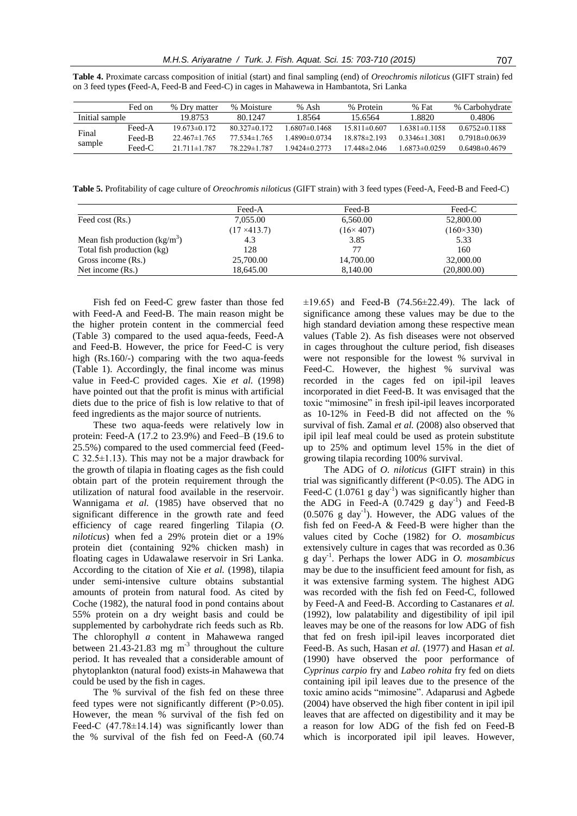|                 | Fed on   | % Drv matter     | % Moisture       | % Ash            | % Protein          | % Fat               | % Carbohydrate    |
|-----------------|----------|------------------|------------------|------------------|--------------------|---------------------|-------------------|
| Initial sample  |          | 19.8753          | 80.1247          | 8564 ا           | 15.6564            | 1.8820              | 0.4806            |
| Final<br>sample | Feed-A   | $19.673\pm0.172$ | $80.327\pm0.172$ | $.6807\pm0.1468$ | $15.811 \pm 0.607$ | $1.6381\pm0.1158$   | $0.6752\pm0.1188$ |
|                 | Feed-B   | $22.467\pm1.765$ | $77.534\pm1.765$ | 4890±0.0734      | $18.878\pm2.193$   | $0.3346 \pm 1.3081$ | $0.7918\pm0.0639$ |
|                 | $Feed-C$ | $21711\pm1787$   | 78 229 ± 1787    | $9424\pm 0.2773$ | $17.448\pm 2.046$  | $1.6873\pm0.0259$   | $0.6498\pm0.4679$ |

**Table 4.** Proximate carcass composition of initial (start) and final sampling (end) of *Oreochromis niloticus* (GIFT strain) fed on 3 feed types **(**Feed-A, Feed-B and Feed-C) in cages in Mahawewa in Hambantota, Sri Lanka

**Table 5.** Profitability of cage culture of *Oreochromis niloticus* (GIFT strain) with 3 feed types (Feed-A, Feed-B and Feed-C)

|                                | Feed-A              | Feed-B            | Feed-C           |
|--------------------------------|---------------------|-------------------|------------------|
| Feed cost (Rs.)                | 7,055.00            | 6,560.00          | 52,800.00        |
|                                | $(17 \times 413.7)$ | $(16 \times 407)$ | $(160\times330)$ |
| Mean fish production $(kg/m3)$ | 4.3                 | 3.85              | 5.33             |
| Total fish production (kg)     | 128                 | 77                | 160              |
| Gross income (Rs.)             | 25,700.00           | 14,700.00         | 32,000.00        |
| Net income (Rs.)               | 18,645.00           | 8,140.00          | (20,800.00)      |

Fish fed on Feed-C grew faster than those fed with Feed-A and Feed-B. The main reason might be the higher protein content in the commercial feed (Table 3) compared to the used aqua-feeds, Feed-A and Feed-B. However, the price for Feed-C is very high (Rs.160/-) comparing with the two aqua-feeds (Table 1). Accordingly, the final income was minus value in Feed-C provided cages. Xie *et al.* (1998) have pointed out that the profit is minus with artificial diets due to the price of fish is low relative to that of feed ingredients as the major source of nutrients.

These two aqua-feeds were relatively low in protein: Feed-A (17.2 to 23.9%) and Feed–B (19.6 to 25.5%) compared to the used commercial feed (Feed-C 32.5±1.13). This may not be a major drawback for the growth of tilapia in floating cages as the fish could obtain part of the protein requirement through the utilization of natural food available in the reservoir. Wannigama *et al.* (1985) have observed that no significant difference in the growth rate and feed efficiency of cage reared fingerling Tilapia (*O. niloticus*) when fed a 29% protein diet or a 19% protein diet (containing 92% chicken mash) in floating cages in Udawalawe reservoir in Sri Lanka. According to the citation of Xie *et al.* (1998), tilapia under semi-intensive culture obtains substantial amounts of protein from natural food. As cited by Coche (1982), the natural food in pond contains about 55% protein on a dry weight basis and could be supplemented by carbohydrate rich feeds such as Rb. The chlorophyll *a* content in Mahawewa ranged between  $21.43 - 21.83$  mg m<sup>-3</sup> throughout the culture period. It has revealed that a considerable amount of phytoplankton (natural food) exists in Mahawewa that could be used by the fish in cages.

The % survival of the fish fed on these three feed types were not significantly different (P>0.05). However, the mean % survival of the fish fed on Feed-C  $(47.78\pm14.14)$  was significantly lower than the % survival of the fish fed on Feed-A (60.74  $\pm 19.65$ ) and Feed-B (74.56 $\pm 22.49$ ). The lack of significance among these values may be due to the high standard deviation among these respective mean values (Table 2). As fish diseases were not observed in cages throughout the culture period, fish diseases were not responsible for the lowest % survival in Feed-C. However, the highest % survival was recorded in the cages fed on ipil-ipil leaves incorporated in diet Feed-B. It was envisaged that the toxic "mimosine" in fresh ipil-ipil leaves incorporated as 10-12% in Feed-B did not affected on the % survival of fish. Zamal *et al.* (2008) also observed that ipil ipil leaf meal could be used as protein substitute up to 25% and optimum level 15% in the diet of growing tilapia recording 100% survival.

The ADG of *O. niloticus* (GIFT strain) in this trial was significantly different (P<0.05). The ADG in Feed-C  $(1.0761 \text{ g day}^{-1})$  was significantly higher than the ADG in Feed-A  $(0.7429 \text{ g day}^{-1})$  and Feed-B  $(0.5076 \text{ g day}^{-1})$ . However, the ADG values of the fish fed on Feed-A & Feed-B were higher than the values cited by Coche (1982) for *O. mosambicus* extensively culture in cages that was recorded as 0.36 g day-1 . Perhaps the lower ADG in *O. mosambicus* may be due to the insufficient feed amount for fish, as it was extensive farming system. The highest ADG was recorded with the fish fed on Feed-C, followed by Feed-A and Feed-B. According to Castanares *et al.* (1992), low palatability and digestibility of ipil ipil leaves may be one of the reasons for low ADG of fish that fed on fresh ipil-ipil leaves incorporated diet Feed-B. As such, Hasan *et al.* (1977) and Hasan *et al.* (1990) have observed the poor performance of *Cyprinus carpio* fry and *Labeo rohita* fry fed on diets containing ipil ipil leaves due to the presence of the toxic amino acids "mimosine". Adaparusi and Agbede (2004) have observed the high fiber content in ipil ipil leaves that are affected on digestibility and it may be a reason for low ADG of the fish fed on Feed-B which is incorporated ipil ipil leaves. However,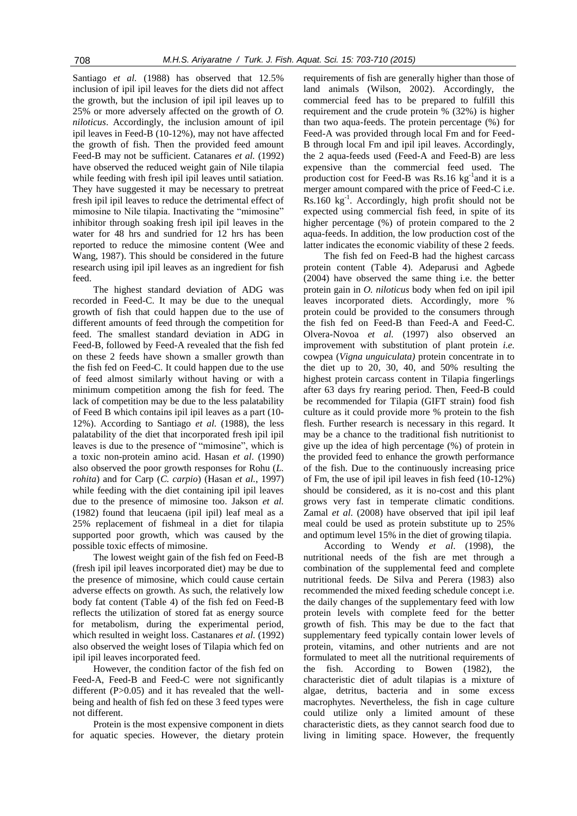Santiago *et al.* (1988) has observed that 12.5% inclusion of ipil ipil leaves for the diets did not affect the growth, but the inclusion of ipil ipil leaves up to 25% or more adversely affected on the growth of *O. niloticus*. Accordingly, the inclusion amount of ipil ipil leaves in Feed-B (10-12%), may not have affected the growth of fish. Then the provided feed amount Feed-B may not be sufficient. Catanares *et al.* (1992) have observed the reduced weight gain of Nile tilapia while feeding with fresh ipil ipil leaves until satiation. They have suggested it may be necessary to pretreat fresh ipil ipil leaves to reduce the detrimental effect of mimosine to Nile tilapia. Inactivating the "mimosine" inhibitor through soaking fresh ipil ipil leaves in the water for 48 hrs and sundried for 12 hrs has been reported to reduce the mimosine content (Wee and Wang, 1987). This should be considered in the future research using ipil ipil leaves as an ingredient for fish feed.

The highest standard deviation of ADG was recorded in Feed-C. It may be due to the unequal growth of fish that could happen due to the use of different amounts of feed through the competition for feed. The smallest standard deviation in ADG in Feed-B, followed by Feed-A revealed that the fish fed on these 2 feeds have shown a smaller growth than the fish fed on Feed-C. It could happen due to the use of feed almost similarly without having or with a minimum competition among the fish for feed. The lack of competition may be due to the less palatability of Feed B which contains ipil ipil leaves as a part (10- 12%). According to Santiago *et al.* (1988), the less palatability of the diet that incorporated fresh ipil ipil leaves is due to the presence of "mimosine", which is a toxic non-protein amino acid. Hasan *et al*. (1990) also observed the poor growth responses for Rohu (*L. rohita*) and for Carp (*C. carpio*) (Hasan *et al.*, 1997) while feeding with the diet containing ipil ipil leaves due to the presence of mimosine too. Jakson *et al.* (1982) found that leucaena (ipil ipil) leaf meal as a 25% replacement of fishmeal in a diet for tilapia supported poor growth, which was caused by the possible toxic effects of mimosine.

The lowest weight gain of the fish fed on Feed-B (fresh ipil ipil leaves incorporated diet) may be due to the presence of mimosine, which could cause certain adverse effects on growth. As such, the relatively low body fat content (Table 4) of the fish fed on Feed-B reflects the utilization of stored fat as energy source for metabolism, during the experimental period, which resulted in weight loss. Castanares *et al.* (1992) also observed the weight loses of Tilapia which fed on ipil ipil leaves incorporated feed.

However, the condition factor of the fish fed on Feed-A, Feed-B and Feed-C were not significantly different  $(P>0.05)$  and it has revealed that the wellbeing and health of fish fed on these 3 feed types were not different.

Protein is the most expensive component in diets for aquatic species. However, the dietary protein requirements of fish are generally higher than those of land animals (Wilson, 2002). Accordingly, the commercial feed has to be prepared to fulfill this requirement and the crude protein % (32%) is higher than two aqua-feeds. The protein percentage (%) for Feed-A was provided through local Fm and for Feed-B through local Fm and ipil ipil leaves. Accordingly, the 2 aqua-feeds used (Feed-A and Feed-B) are less expensive than the commercial feed used. The production cost for Feed-B was Rs.16 kg<sup>-1</sup>and it is a merger amount compared with the price of Feed-C i.e. Rs.160 kg-1 . Accordingly, high profit should not be expected using commercial fish feed, in spite of its higher percentage (%) of protein compared to the 2 aqua-feeds. In addition, the low production cost of the latter indicates the economic viability of these 2 feeds.

The fish fed on Feed-B had the highest carcass protein content (Table 4). Adeparusi and Agbede (2004) have observed the same thing i.e. the better protein gain in *O. niloticus* body when fed on ipil ipil leaves incorporated diets. Accordingly, more % protein could be provided to the consumers through the fish fed on Feed-B than Feed-A and Feed-C. Olvera-Novoa *et al.* (1997) also observed an improvement with substitution of plant protein *i.e.*  cowpea (*Vigna unguiculata)* protein concentrate in to the diet up to 20, 30, 40, and 50% resulting the highest protein carcass content in Tilapia fingerlings after 63 days fry rearing period. Then, Feed-B could be recommended for Tilapia (GIFT strain) food fish culture as it could provide more % protein to the fish flesh. Further research is necessary in this regard. It may be a chance to the traditional fish nutritionist to give up the idea of high percentage (%) of protein in the provided feed to enhance the growth performance of the fish. Due to the continuously increasing price of Fm, the use of ipil ipil leaves in fish feed (10-12%) should be considered, as it is no-cost and this plant grows very fast in temperate climatic conditions. Zamal *et al*. (2008) have observed that ipil ipil leaf meal could be used as protein substitute up to 25% and optimum level 15% in the diet of growing tilapia.

According to Wendy *et al*. (1998), the nutritional needs of the fish are met through a combination of the supplemental feed and complete nutritional feeds. De Silva and Perera (1983) also recommended the mixed feeding schedule concept i.e. the daily changes of the supplementary feed with low protein levels with complete feed for the better growth of fish. This may be due to the fact that supplementary feed typically contain lower levels of protein, vitamins, and other nutrients and are not formulated to meet all the nutritional requirements of the fish. According to Bowen (1982), the characteristic diet of adult tilapias is a mixture of algae, detritus, bacteria and in some excess macrophytes. Nevertheless, the fish in cage culture could utilize only a limited amount of these characteristic diets, as they cannot search food due to living in limiting space. However, the frequently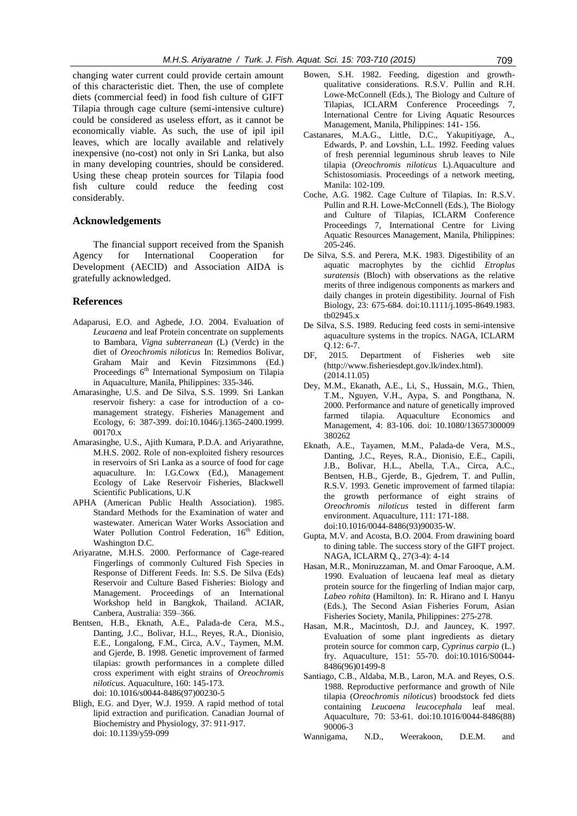changing water current could provide certain amount of this characteristic diet. Then, the use of complete diets (commercial feed) in food fish culture of GIFT Tilapia through cage culture (semi-intensive culture) could be considered as useless effort, as it cannot be economically viable. As such, the use of ipil ipil leaves, which are locally available and relatively inexpensive (no-cost) not only in Sri Lanka, but also in many developing countries, should be considered. Using these cheap protein sources for Tilapia food fish culture could reduce the feeding cost considerably.

## **Acknowledgements**

The financial support received from the Spanish Agency for International Cooperation for Development (AECID) and Association AIDA is gratefully acknowledged.

## **References**

- Adaparusi, E.O. and Agbede, J.O. 2004. Evaluation of *Leucaena* and leaf Protein concentrate on supplements to Bambara, *Vigna subterranean* (L) (Verdc) in the diet of *Oreochromis niloticus* In: Remedios Bolivar, Graham Mair and Kevin Fitzsimmons (Ed.) Proceedings 6<sup>th</sup> International Symposium on Tilapia in Aquaculture, Manila, Philippines: 335-346.
- Amarasinghe, U.S. and De Silva, S.S. 1999. Sri Lankan reservoir fishery: a case for introduction of a comanagement strategy. Fisheries Management and Ecology, 6: 387-399. doi:10.1046/j.1365-2400.1999. 00170.x
- Amarasinghe, U.S., Ajith Kumara, P.D.A. and Ariyarathne, M.H.S. 2002. Role of non-exploited fishery resources in reservoirs of Sri Lanka as a source of food for cage aquaculture. In: I.G.Cowx (Ed.), Management Ecology of Lake Reservoir Fisheries, Blackwell Scientific Publications, U.K
- APHA (American Public Health Association). 1985. Standard Methods for the Examination of water and wastewater. American Water Works Association and Water Pollution Control Federation, 16<sup>th</sup> Edition, Washington D.C.
- Ariyaratne, M.H.S. 2000. Performance of Cage-reared Fingerlings of commonly Cultured Fish Species in Response of Different Feeds. In: S.S. De Silva (Eds) Reservoir and Culture Based Fisheries: Biology and Management. Proceedings of an International Workshop held in Bangkok, Thailand. ACIAR, Canbera, Australia: 359–366.
- Bentsen, H.B., Eknath, A.E., Palada-de Cera, M.S., Danting, J.C., Bolivar, H.L., Reyes, R.A., Dionisio, E.E., Longalong, F.M., Circa, A.V., Taymen, M.M. and Gjerde, B. 1998. Genetic improvement of farmed tilapias: growth performances in a complete dilled cross experiment with eight strains of *Oreochromis niloticus*. Aquaculture, 160: 145-173. doi: 10.1016/s0044-8486(97)00230-5
- Bligh, E.G. and Dyer, W.J. 1959. A rapid method of total lipid extraction and purification. Canadian Journal of Biochemistry and Physiology, 37: 911-917. doi: 10.1139/y59-099
- Bowen, S.H. 1982. Feeding, digestion and growthqualitative considerations. R.S.V. Pullin and R.H. Lowe-McConnell (Eds.), The Biology and Culture of Tilapias, ICLARM Conference Proceedings 7, International Centre for Living Aquatic Resources Management, Manila, Philippines: 141- 156.
- Castanares, M.A.G., Little, D.C., Yakupitiyage, A., Edwards, P. and Lovshin, L.L. 1992. Feeding values of fresh perennial leguminous shrub leaves to Nile tilapia (*Oreochromis niloticus* L).Aquaculture and Schistosomiasis. Proceedings of a network meeting, Manila: 102-109.
- Coche, A.G. 1982. Cage Culture of Tilapias. In: R.S.V. Pullin and R.H. Lowe-McConnell (Eds.), The Biology and Culture of Tilapias, ICLARM Conference Proceedings 7, International Centre for Living Aquatic Resources Management, Manila, Philippines: 205-246.
- De Silva, S.S. and Perera, M.K. 1983. Digestibility of an aquatic macrophytes by the cichlid *Etroplus suratensis* (Bloch) with observations as the relative merits of three indigenous components as markers and daily changes in protein digestibility. Journal of Fish Biology, 23: 675-684. doi:10.1111/j.1095-8649.1983. tb02945.x
- De Silva, S.S. 1989. Reducing feed costs in semi-intensive aquaculture systems in the tropics. NAGA, ICLARM Q.12: 6-7.
- DF, 2015. Department of Fisheries web site (http:/[/www.fisheriesdept.gov.lk/index.html\)](http://www.fisheriesdept.gov.lk/index.html). (2014.11.05)
- Dey, M.M., Ekanath, A.E., Li, S., Hussain, M.G., Thien, T.M., Nguyen, V.H., Aypa, S. and Pongthana, N. 2000. Performance and nature of genetically improved farmed tilapia. Aquaculture Economics and Management, 4: 83-106. doi: 10.1080/13657300009 380262
- Eknath, A.E., Tayamen, M.M., Palada-de Vera, M.S., Danting, J.C., Reyes, R.A., Dionisio, E.E., Capili, J.B., Bolivar, H.L., Abella, T.A., Circa, A.C., Bentsen, H.B., Gjerde, B., Gjedrem, T. and Pullin, R.S.V. 1993. Genetic improvement of farmed tilapia: the growth performance of eight strains of *Oreochromis niloticus* tested in different farm environment. Aquaculture, 111: 171-188. doi:10.1016/0044-8486(93)90035-W.
- Gupta, M.V. and Acosta, B.O. 2004. From drawining board to dining table. The success story of the GIFT project. NAGA, ICLARM Q., 27(3-4): 4-14
- Hasan, M.R., Moniruzzaman, M. and Omar Farooque, A.M. 1990. Evaluation of leucaena leaf meal as dietary protein source for the fingerling of Indian major carp, *Labeo rohita* (Hamilton). In: R. Hirano and I. Hanyu (Eds.), The Second Asian Fisheries Forum, Asian Fisheries Society, Manila, Philippines: 275-278.
- Hasan, M.R., Macintosh, D.J. and Jauncey, K. 1997. Evaluation of some plant ingredients as dietary protein source for common carp, *Cyprinus carpio* (L.) fry. Aquaculture, 151: 55-70. doi:10.1016/S0044- 8486(96)01499-8
- Santiago, C.B., Aldaba, M.B., Laron, M.A. and Reyes, O.S. 1988. Reproductive performance and growth of Nile tilapia (*Oreochromis niloticus*) broodstock fed diets containing *Leucaena leucocephala* leaf meal. Aquaculture, 70: 53-61. doi:10.1016/0044-8486(88) 90006-3
- Wannigama, N.D., Weerakoon, D.E.M. and